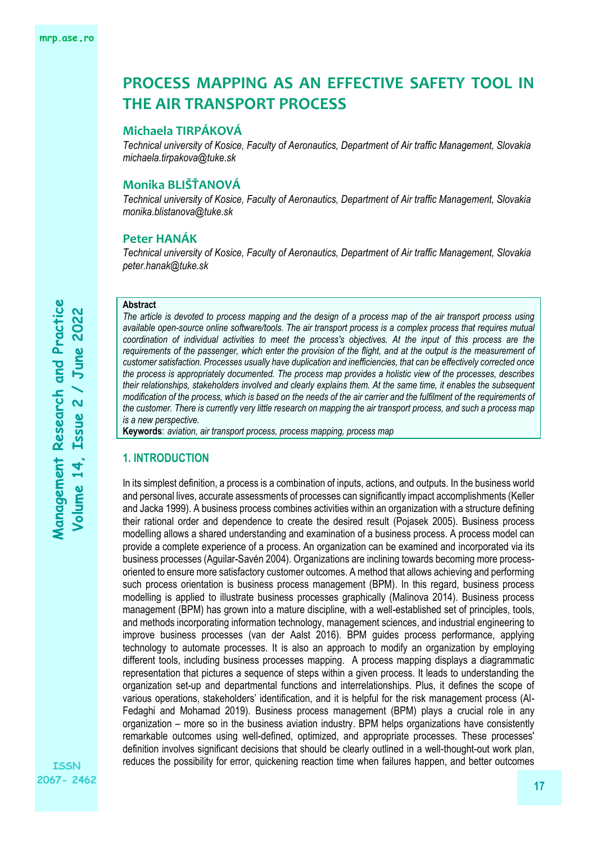# **Michaela TIRPÁKOVÁ**

*Technical university of Kosice, Faculty of Aeronautics, Department of Air traffic Management, Slovakia michaela.tirpakova@tuke.sk*

# **Monika BLIŠŤANOVÁ**

*Technical university of Kosice, Faculty of Aeronautics, Department of Air traffic Management, Slovakia monika.blistanova@tuke.sk*

# **Peter HANÁK**

*Technical university of Kosice, Faculty of Aeronautics, Department of Air traffic Management, Slovakia peter.hanak@tuke.sk*

### **Abstract**

*The article is devoted to process mapping and the design of a process map of the air transport process using available open-source online software/tools. The air transport process is a complex process that requires mutual coordination of individual activities to meet the process's objectives. At the input of this process are the requirements of the passenger, which enter the provision of the flight, and at the output is the measurement of customer satisfaction. Processes usually have duplication and inefficiencies, that can be effectively corrected once the process is appropriately documented. The process map provides a holistic view of the processes, describes their relationships, stakeholders involved and clearly explains them. At the same time, it enables the subsequent modification of the process, which is based on the needs of the air carrier and the fulfilment of the requirements of the customer. There is currently very little research on mapping the air transport process, and such a process map is a new perspective.*

**Keywords**: *aviation, air transport process, process mapping, process map*

### **1. INTRODUCTION**

In its simplest definition, a process is a combination of inputs, actions, and outputs. In the business world and personal lives, accurate assessments of processes can significantly impact accomplishments (Keller and Jacka 1999). A business process combines activities within an organization with a structure defining their rational order and dependence to create the desired result (Pojasek 2005). Business process modelling allows a shared understanding and examination of a business process. A process model can provide a complete experience of a process. An organization can be examined and incorporated via its business processes (Aguilar-Savén 2004). Organizations are inclining towards becoming more processoriented to ensure more satisfactory customer outcomes. A method that allows achieving and performing such process orientation is business process management (BPM). In this regard, business process modelling is applied to illustrate business processes graphically (Malinova 2014). Business process management (BPM) has grown into a mature discipline, with a well-established set of principles, tools, and methods incorporating information technology, management sciences, and industrial engineering to improve business processes (van der Aalst 2016). BPM guides process performance, applying technology to automate processes. It is also an approach to modify an organization by employing different tools, including business processes mapping. A process mapping displays a diagrammatic representation that pictures a sequence of steps within a given process. It leads to understanding the organization set-up and departmental functions and interrelationships. Plus, it defines the scope of various operations, stakeholders' identification, and it is helpful for the risk management process (Al-Fedaghi and Mohamad 2019). Business process management (BPM) plays a crucial role in any organization – more so in the business aviation industry. BPM helps organizations have consistently remarkable outcomes using well-defined, optimized, and appropriate processes. These processes' definition involves significant decisions that should be clearly outlined in a well-thought-out work plan, reduces the possibility for error, quickening reaction time when failures happen, and better outcomes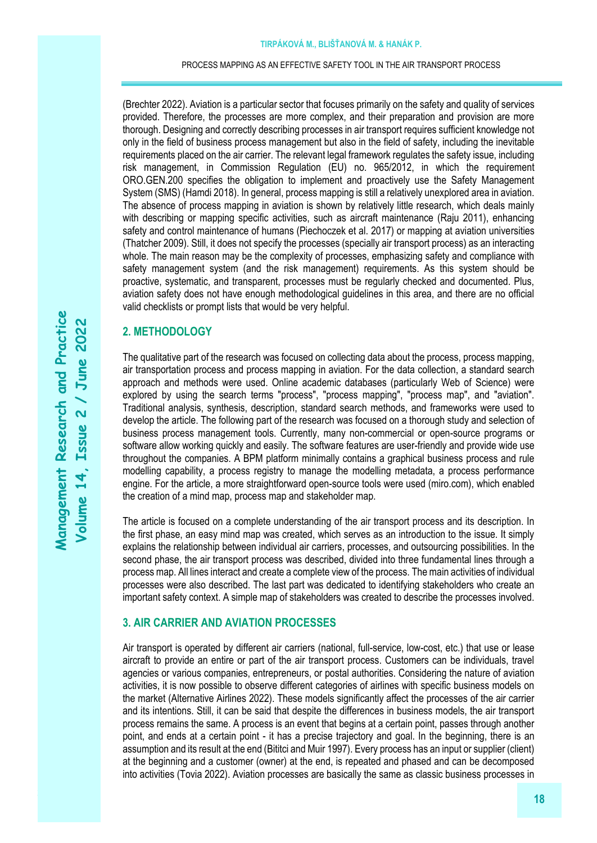(Brechter 2022). Aviation is a particular sector that focuses primarily on the safety and quality of services provided. Therefore, the processes are more complex, and their preparation and provision are more thorough. Designing and correctly describing processes in air transport requires sufficient knowledge not only in the field of business process management but also in the field of safety, including the inevitable requirements placed on the air carrier. The relevant legal framework regulates the safety issue, including risk management, in Commission Regulation (EU) no. 965/2012, in which the requirement ORO.GEN.200 specifies the obligation to implement and proactively use the Safety Management System (SMS) (Hamdi 2018). In general, process mapping is still a relatively unexplored area in aviation. The absence of process mapping in aviation is shown by relatively little research, which deals mainly with describing or mapping specific activities, such as aircraft maintenance (Raju 2011), enhancing safety and control maintenance of humans (Piechoczek et al. 2017) or mapping at aviation universities (Thatcher 2009). Still, it does not specify the processes (specially air transport process) as an interacting whole. The main reason may be the complexity of processes, emphasizing safety and compliance with safety management system (and the risk management) requirements. As this system should be proactive, systematic, and transparent, processes must be regularly checked and documented. Plus, aviation safety does not have enough methodological guidelines in this area, and there are no official valid checklists or prompt lists that would be very helpful.

### **2. METHODOLOGY**

The qualitative part of the research was focused on collecting data about the process, process mapping, air transportation process and process mapping in aviation. For the data collection, a standard search approach and methods were used. Online academic databases (particularly Web of Science) were explored by using the search terms "process", "process mapping", "process map", and "aviation". Traditional analysis, synthesis, description, standard search methods, and frameworks were used to develop the article. The following part of the research was focused on a thorough study and selection of business process management tools. Currently, many non-commercial or open-source programs or software allow working quickly and easily. The software features are user-friendly and provide wide use throughout the companies. A BPM platform minimally contains a graphical business process and rule modelling capability, a process registry to manage the modelling metadata, a process performance engine. For the article, a more straightforward open-source tools were used (miro.com), which enabled the creation of a mind map, process map and stakeholder map.

The article is focused on a complete understanding of the air transport process and its description. In the first phase, an easy mind map was created, which serves as an introduction to the issue. It simply explains the relationship between individual air carriers, processes, and outsourcing possibilities. In the second phase, the air transport process was described, divided into three fundamental lines through a process map. All lines interact and create a complete view of the process. The main activities of individual processes were also described. The last part was dedicated to identifying stakeholders who create an important safety context. A simple map of stakeholders was created to describe the processes involved.

# **3. AIR CARRIER AND AVIATION PROCESSES**

Air transport is operated by different air carriers (national, full-service, low-cost, etc.) that use or lease aircraft to provide an entire or part of the air transport process. Customers can be individuals, travel agencies or various companies, entrepreneurs, or postal authorities. Considering the nature of aviation activities, it is now possible to observe different categories of airlines with specific business models on the market (Alternative Airlines 2022). These models significantly affect the processes of the air carrier and its intentions. Still, it can be said that despite the differences in business models, the air transport process remains the same. A process is an event that begins at a certain point, passes through another point, and ends at a certain point - it has a precise trajectory and goal. In the beginning, there is an assumption and its result at the end (Bititci and Muir 1997). Every process has an input or supplier (client) at the beginning and a customer (owner) at the end, is repeated and phased and can be decomposed into activities (Tovia 2022). Aviation processes are basically the same as classic business processes in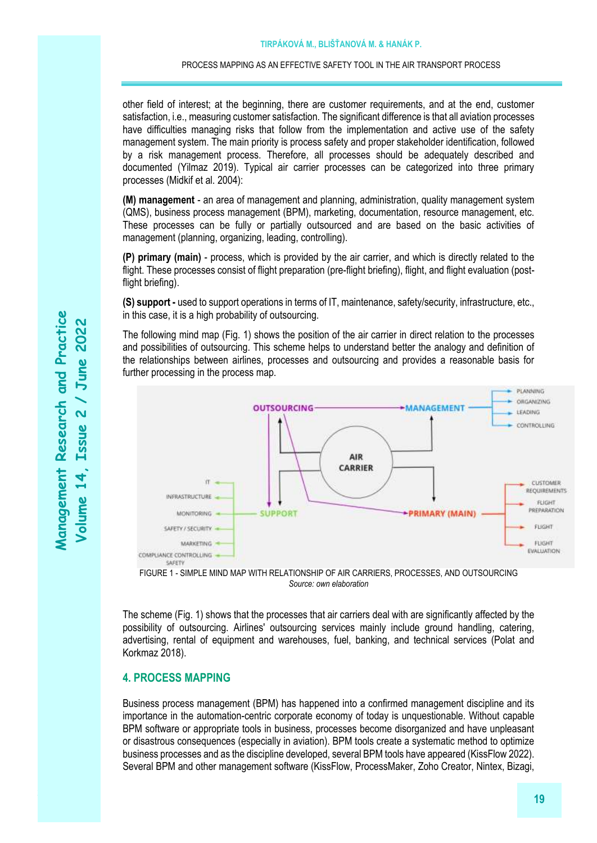other field of interest; at the beginning, there are customer requirements, and at the end, customer satisfaction, i.e., measuring customer satisfaction. The significant difference is that all aviation processes have difficulties managing risks that follow from the implementation and active use of the safety management system. The main priority is process safety and proper stakeholder identification, followed by a risk management process. Therefore, all processes should be adequately described and documented (Yilmaz 2019). Typical air carrier processes can be categorized into three primary processes (Midkif et al. 2004):

**(M) management** - an area of management and planning, administration, quality management system (QMS), business process management (BPM), marketing, documentation, resource management, etc. These processes can be fully or partially outsourced and are based on the basic activities of management (planning, organizing, leading, controlling).

**(P) primary (main)** - process, which is provided by the air carrier, and which is directly related to the flight. These processes consist of flight preparation (pre-flight briefing), flight, and flight evaluation (postflight briefing).

**(S) support -** used to support operations in terms of IT, maintenance, safety/security, infrastructure, etc., in this case, it is a high probability of outsourcing.

The following mind map (Fig. 1) shows the position of the air carrier in direct relation to the processes and possibilities of outsourcing. This scheme helps to understand better the analogy and definition of the relationships between airlines, processes and outsourcing and provides a reasonable basis for further processing in the process map.





The scheme (Fig. 1) shows that the processes that air carriers deal with are significantly affected by the possibility of outsourcing. Airlines' outsourcing services mainly include ground handling, catering, advertising, rental of equipment and warehouses, fuel, banking, and technical services (Polat and Korkmaz 2018).

### **4. PROCESS MAPPING**

Business process management (BPM) has happened into a confirmed management discipline and its importance in the automation-centric corporate economy of today is unquestionable. Without capable BPM software or appropriate tools in business, processes become disorganized and have unpleasant or disastrous consequences (especially in aviation). BPM tools create a systematic method to optimize business processes and as the discipline developed, several BPM tools have appeared (KissFlow 2022). Several BPM and other management software (KissFlow, ProcessMaker, Zoho Creator, Nintex, Bizagi,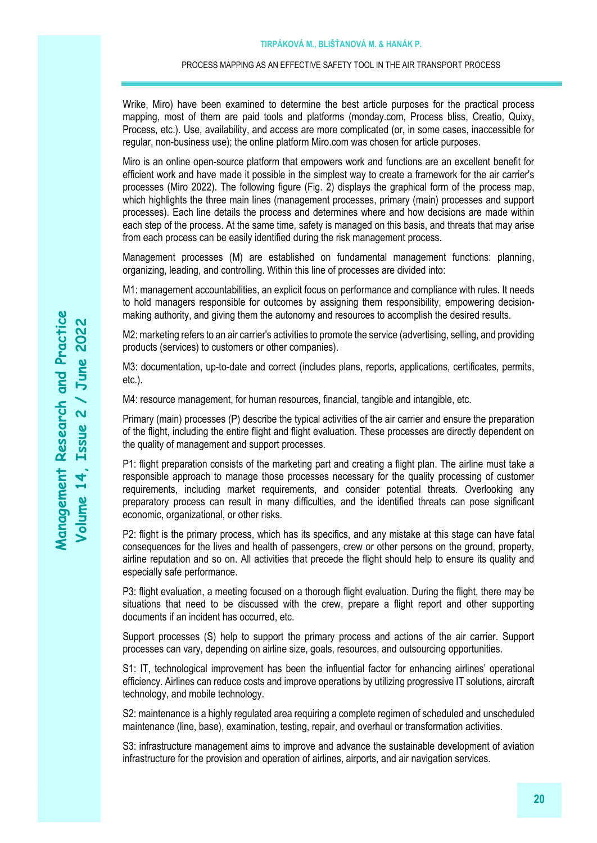Wrike, Miro) have been examined to determine the best article purposes for the practical process mapping, most of them are paid tools and platforms (monday.com, Process bliss, Creatio, Quixy, Process, etc.). Use, availability, and access are more complicated (or, in some cases, inaccessible for regular, non-business use); the online platform Miro.com was chosen for article purposes.

Miro is an online open-source platform that empowers work and functions are an excellent benefit for efficient work and have made it possible in the simplest way to create a framework for the air carrier's processes (Miro 2022). The following figure (Fig. 2) displays the graphical form of the process map, which highlights the three main lines (management processes, primary (main) processes and support processes). Each line details the process and determines where and how decisions are made within each step of the process. At the same time, safety is managed on this basis, and threats that may arise from each process can be easily identified during the risk management process.

Management processes (M) are established on fundamental management functions: planning, organizing, leading, and controlling. Within this line of processes are divided into:

M1: management accountabilities, an explicit focus on performance and compliance with rules. It needs to hold managers responsible for outcomes by assigning them responsibility, empowering decisionmaking authority, and giving them the autonomy and resources to accomplish the desired results.

M2: marketing refers to an air carrier's activities to promote the service (advertising, selling, and providing products (services) to customers or other companies).

M3: documentation, up-to-date and correct (includes plans, reports, applications, certificates, permits, etc.).

M4: resource management, for human resources, financial, tangible and intangible, etc.

Primary (main) processes (P) describe the typical activities of the air carrier and ensure the preparation of the flight, including the entire flight and flight evaluation. These processes are directly dependent on the quality of management and support processes.

P1: flight preparation consists of the marketing part and creating a flight plan. The airline must take a responsible approach to manage those processes necessary for the quality processing of customer requirements, including market requirements, and consider potential threats. Overlooking any preparatory process can result in many difficulties, and the identified threats can pose significant economic, organizational, or other risks.

P2: flight is the primary process, which has its specifics, and any mistake at this stage can have fatal consequences for the lives and health of passengers, crew or other persons on the ground, property, airline reputation and so on. All activities that precede the flight should help to ensure its quality and especially safe performance.

P3: flight evaluation, a meeting focused on a thorough flight evaluation. During the flight, there may be situations that need to be discussed with the crew, prepare a flight report and other supporting documents if an incident has occurred, etc.

Support processes (S) help to support the primary process and actions of the air carrier. Support processes can vary, depending on airline size, goals, resources, and outsourcing opportunities.

S1: IT, technological improvement has been the influential factor for enhancing airlines' operational efficiency. Airlines can reduce costs and improve operations by utilizing progressive IT solutions, aircraft technology, and mobile technology.

S2: maintenance is a highly regulated area requiring a complete regimen of scheduled and unscheduled maintenance (line, base), examination, testing, repair, and overhaul or transformation activities.

S3: infrastructure management aims to improve and advance the sustainable development of aviation infrastructure for the provision and operation of airlines, airports, and air navigation services.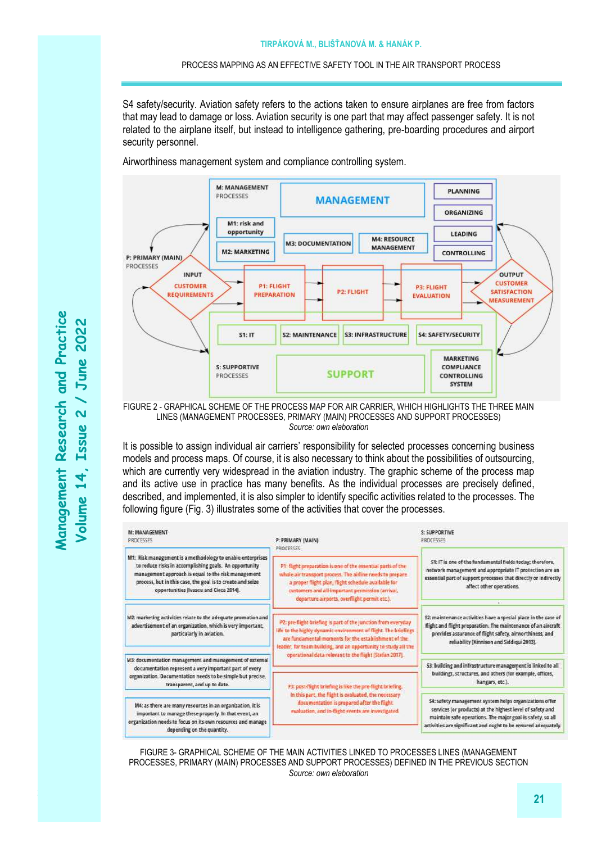S4 safety/security. Aviation safety refers to the actions taken to ensure airplanes are free from factors that may lead to damage or loss. Aviation security is one part that may affect passenger safety. It is not related to the airplane itself, but instead to intelligence gathering, pre-boarding procedures and airport security personnel.

Airworthiness management system and compliance controlling system.

M: MANAGEMENT PLANNING PROCESSES **MANAGEMENT** ORGANIZING M1: risk and opportunity LEADING **M4: RESOURCE M3: DOCUMENTATION MANAGEMENT M2-MARKETING** CONTROLLING P: PRIMARY (MAIN) PROCESSES INPUT **OUTPUT CUSTOMER CUSTOMER P1: FLIGHT** P3: FLIGHT **P2: FLIGHT SATISFACTION EQUIREMENTS PREPARATION** EVALUATION MEASUREMENT **S2: MAINTENANCE S3: INFRASTRUCTURE S4: SAFETY/SECURITY**  $51:17$ **MARKETING S: SUPPORTIVE** COMPLIANCE **SUPPORT** PROCESSES CONTROLLING **SYSTEM** 

FIGURE 2 - GRAPHICAL SCHEME OF THE PROCESS MAP FOR AIR CARRIER, WHICH HIGHLIGHTS THE THREE MAIN LINES (MANAGEMENT PROCESSES, PRIMARY (MAIN) PROCESSES AND SUPPORT PROCESSES) *Source: own elaboration*

It is possible to assign individual air carriers' responsibility for selected processes concerning business models and process maps. Of course, it is also necessary to think about the possibilities of outsourcing, which are currently very widespread in the aviation industry. The graphic scheme of the process map and its active use in practice has many benefits. As the individual processes are precisely defined, described, and implemented, it is also simpler to identify specific activities related to the processes. The following figure (Fig. 3) illustrates some of the activities that cover the processes.

| M: MANAGEMENT<br>PROCESSES                                                                                                                                                                                                                                                          | P: PRIMARY (MAIN)<br>PROCESSES                                                                                                                                                                                                                                                                                        | S: SUPPORTIVE<br>PROCESSES                                                                                                                                                                                                                          |
|-------------------------------------------------------------------------------------------------------------------------------------------------------------------------------------------------------------------------------------------------------------------------------------|-----------------------------------------------------------------------------------------------------------------------------------------------------------------------------------------------------------------------------------------------------------------------------------------------------------------------|-----------------------------------------------------------------------------------------------------------------------------------------------------------------------------------------------------------------------------------------------------|
| M1: Risk management is a methodology to enable enterprises<br>to reduce risks in accomplishing goals. An opportunity<br>management approach is equal to the risk management<br>process, but in this case, the goal is to create and seize<br>opportunities [Ivascu and Cioca 2014]. | P1: fight preparation is one of the essential parts of the<br>whole air transport process. The airline needs to prepare<br>a proper flight plan, flight schedule available for<br>customers and all-important permission (arrival,<br>departure airports, overflight permit etc.).                                    | S1: IT is one of the fundamental fields today; therefore,<br>network management and appropriate IT protection are an<br>essential part of support processes that directly or indirectly<br>affect other operations.                                 |
| M2: marketing activities relate to the adequate promotion and<br>advertisement of an organization, which is very important,<br>particularly in aviation.                                                                                                                            | P2: pre-flight briefing is part of the junction from everyday.<br>life to the highly dynamic environment of flight. The briefings<br>are fundamental moments for the establishment of the<br>leader, for team building, and an opportunity to study all the<br>operational data relevant to the flight (Stefan 2017). | 52: maintenance activities have a special place in the case of<br>flight and flight preparation. The maintenance of an aircraft<br>provides assurance of flight safety, airworthiness, and<br>reliability [Kinnison and Siddigui 2013].             |
| M3: documentation management and management of external<br>documentation represent a very important part of every<br>organization. Documentation needs to be simple but precise,<br>transparent, and up to date.                                                                    |                                                                                                                                                                                                                                                                                                                       | \$3: building and infrastructure management is linked to all<br>buildings, structures, and others (for example, offices,<br>hangars, etc.).                                                                                                         |
|                                                                                                                                                                                                                                                                                     | P3: post-flight briefing is like the pre-flight briefing.<br>In this part, the flight is evaluated, the necessary<br>documentation is prepared after the flight<br>evaluation, and in-flight events are investigated.                                                                                                 |                                                                                                                                                                                                                                                     |
| M4: as there are many resources in an organization, it is<br>important to manage these properly. In that event, an<br>organization needs to focus on its own resources and manage<br>depending on the quantity.                                                                     |                                                                                                                                                                                                                                                                                                                       | S4: safety management system helps organizations offer<br>services (or products) at the highest level of safety and<br>maintain safe operations. The major goal is safety, so all<br>activities are significant and ought to be ensured adequately. |

FIGURE 3- GRAPHICAL SCHEME OF THE MAIN ACTIVITIES LINKED TO PROCESSES LINES (MANAGEMENT PROCESSES, PRIMARY (MAIN) PROCESSES AND SUPPORT PROCESSES) DEFINED IN THE PREVIOUS SECTION *Source: own elaboration*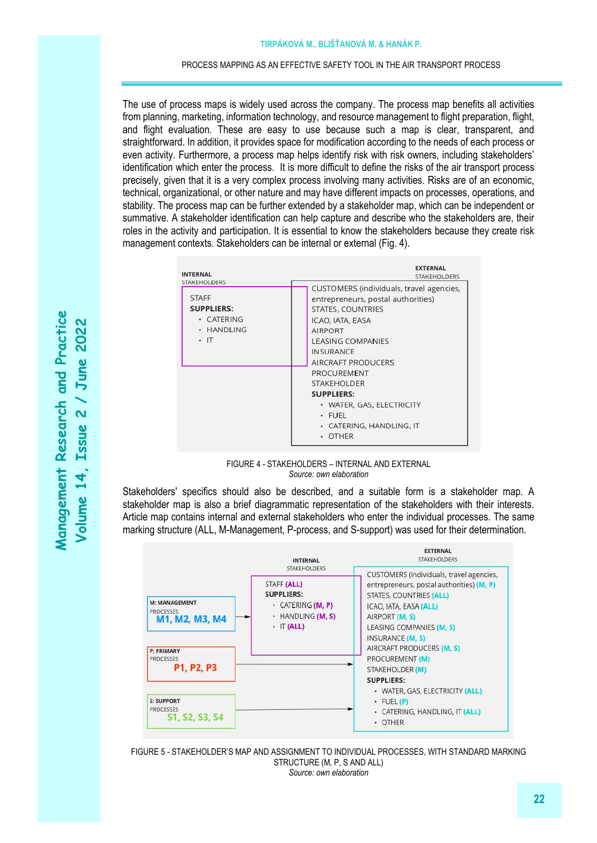The use of process maps is widely used across the company. The process map benefits all activities from planning, marketing, information technology, and resource management to flight preparation, flight, and flight evaluation. These are easy to use because such a map is clear, transparent, and straightforward. In addition, it provides space for modification according to the needs of each process or even activity. Furthermore, a process map helps identify risk with risk owners, including stakeholders' identification which enter the process. It is more difficult to define the risks of the air transport process precisely, given that it is a very complex process involving many activities. Risks are of an economic, technical, organizational, or other nature and may have different impacts on processes, operations, and stability. The process map can be further extended by a stakeholder map, which can be independent or summative. A stakeholder identification can help capture and describe who the stakeholders are, their roles in the activity and participation. It is essential to know the stakeholders because they create risk management contexts. Stakeholders can be internal or external (Fig. 4).

| <b>INTERNAL</b>                                                                             | <b>EXTERNAL</b><br><b>STAKEHOLDERS</b>                                                                                                                                                                                         |
|---------------------------------------------------------------------------------------------|--------------------------------------------------------------------------------------------------------------------------------------------------------------------------------------------------------------------------------|
| STAKEHOLDERS<br><b>STAFF</b><br><b>SUPPLIERS:</b><br>· CATERING<br>· HANDLING<br>$\cdot$ IT | CUSTOMERS (individuals, travel agencies,<br>entrepreneurs, postal authorities)<br>STATES, COUNTRIES<br>ICAO, IATA, EASA<br><b>AIRPORT</b><br><b>LEASING COMPANIES</b><br><b>INSURANCE</b><br>AIRCRAFT PRODUCERS<br>PROCUREMENT |
|                                                                                             | <b>STAKEHOLDER</b>                                                                                                                                                                                                             |
|                                                                                             | <b>SUPPLIERS:</b><br>• WATER, GAS, ELECTRICITY<br>· FUEL<br>· CATERING, HANDLING, IT<br>· OTHER                                                                                                                                |

FIGURE 4 - STAKEHOLDERS – INTERNAL AND EXTERNAL *Source: own elaboration*

Stakeholders' specifics should also be described, and a suitable form is a stakeholder map. A stakeholder map is also a brief diagrammatic representation of the stakeholders with their interests. Article map contains internal and external stakeholders who enter the individual processes. The same marking structure (ALL, M-Management, P-process, and S-support) was used for their determination.



FIGURE 5 - STAKEHOLDER'S MAP AND ASSIGNMENT TO INDIVIDUAL PROCESSES, WITH STANDARD MARKING STRUCTURE (M, P, S AND ALL) *Source: own elaboration*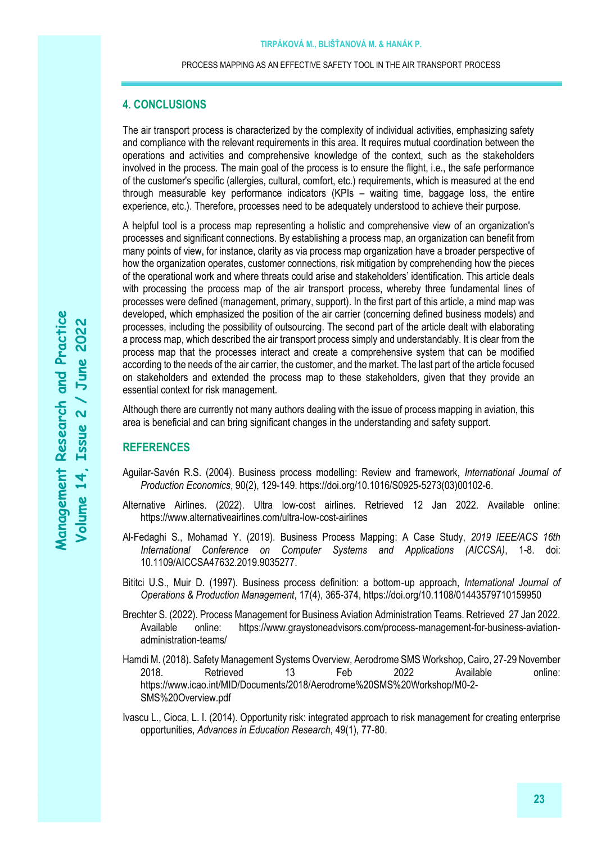## **4. CONCLUSIONS**

The air transport process is characterized by the complexity of individual activities, emphasizing safety and compliance with the relevant requirements in this area. It requires mutual coordination between the operations and activities and comprehensive knowledge of the context, such as the stakeholders involved in the process. The main goal of the process is to ensure the flight, i.e., the safe performance of the customer's specific (allergies, cultural, comfort, etc.) requirements, which is measured at the end through measurable key performance indicators (KPIs – waiting time, baggage loss, the entire experience, etc.). Therefore, processes need to be adequately understood to achieve their purpose.

A helpful tool is a process map representing a holistic and comprehensive view of an organization's processes and significant connections. By establishing a process map, an organization can benefit from many points of view, for instance, clarity as via process map organization have a broader perspective of how the organization operates, customer connections, risk mitigation by comprehending how the pieces of the operational work and where threats could arise and stakeholders' identification. This article deals with processing the process map of the air transport process, whereby three fundamental lines of processes were defined (management, primary, support). In the first part of this article, a mind map was developed, which emphasized the position of the air carrier (concerning defined business models) and processes, including the possibility of outsourcing. The second part of the article dealt with elaborating a process map, which described the air transport process simply and understandably. It is clear from the process map that the processes interact and create a comprehensive system that can be modified according to the needs of the air carrier, the customer, and the market. The last part of the article focused on stakeholders and extended the process map to these stakeholders, given that they provide an essential context for risk management.

Although there are currently not many authors dealing with the issue of process mapping in aviation, this area is beneficial and can bring significant changes in the understanding and safety support.

### **REFERENCES**

- Aguilar-Savén R.S. (2004). Business process modelling: Review and framework, *International Journal of Production Economics*, 90(2), 129-149. [https://doi.org/10.1016/S0925-5273\(03\)00102-6.](https://doi.org/10.1016/S0925-5273(03)00102-6)
- Alternative Airlines. (2022). Ultra low-cost airlines. Retrieved 12 Jan 2022. Available online: <https://www.alternativeairlines.com/ultra-low-cost-airlines>
- Al-Fedaghi S., Mohamad Y. (2019). Business Process Mapping: A Case Study, *2019 IEEE/ACS 16th International Conference on Computer Systems and Applications (AICCSA)*, 1-8. doi: 10.1109/AICCSA47632.2019.9035277.
- Bititci U.S., Muir D. (1997). Business process definition: a bottom‐up approach, *International Journal of Operations & Production Management*, 17(4), 365-374, https://doi.org/10.1108/01443579710159950
- Brechter S. (2022). Process Management for Business Aviation Administration Teams. Retrieved 27 Jan 2022. Available online: [https://www.graystoneadvisors.com/process-management-for-business-aviation](https://www.graystoneadvisors.com/process-management-for-business-aviation-administration-teams/)[administration-teams/](https://www.graystoneadvisors.com/process-management-for-business-aviation-administration-teams/)
- Hamdi M. (2018). Safety Management Systems Overview, Aerodrome SMS Workshop, Cairo, 27-29 November 2018. Retrieved 13 Feb 2022 Available online: [https://www.icao.int/MID/Documents/2018/Aerodrome%20SMS%20Workshop/M0-2-](https://www.icao.int/MID/Documents/2018/Aerodrome%20SMS%20Workshop/M0-2-SMS%20Overview.pdf) [SMS%20Overview.pdf](https://www.icao.int/MID/Documents/2018/Aerodrome%20SMS%20Workshop/M0-2-SMS%20Overview.pdf)
- Ivascu L., Cioca, L. I. (2014). Opportunity risk: integrated approach to risk management for creating enterprise opportunities, *Advances in Education Research*, 49(1), 77-80.